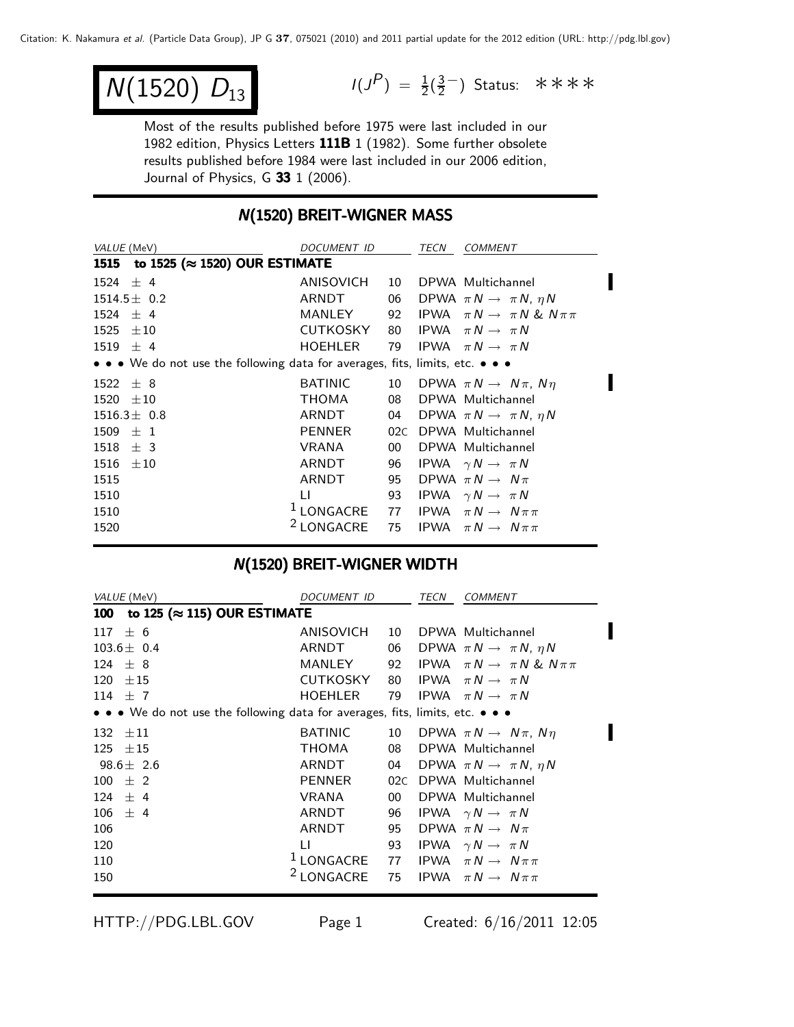$$
\overline{N(1520) \vert D_{13} \vert}
$$

 $N(1520) D_{13}$   $I(J^P) = \frac{1}{2}(\frac{3}{2})$  Status: \*\*\*\*

Most of the results published before 1975 were last included in our 1982 edition, Physics Letters 111B 1 (1982). Some further obsolete results published before 1984 were last included in our 2006 edition, Journal of Physics, G  $33$  1 (2006).

#### **N(1520) BREIT-WIGNER MASS**

| VALUE (MeV)                                                                                                           | <b>DOCUMENT ID</b>                                          |                 | TECN | <b>COMMENT</b>                                 |  |  |  |  |
|-----------------------------------------------------------------------------------------------------------------------|-------------------------------------------------------------|-----------------|------|------------------------------------------------|--|--|--|--|
| 1515 to 1525 (≈ 1520) OUR ESTIMATE                                                                                    |                                                             |                 |      |                                                |  |  |  |  |
| $1524 \pm 4$                                                                                                          | ANISOVICH                                                   | 10              |      | DPWA Multichannel                              |  |  |  |  |
| $1514.5 \pm 0.2$                                                                                                      | ARNDT                                                       |                 |      | 06 DPWA $\pi N \rightarrow \pi N$ , $\eta N$   |  |  |  |  |
| $1524 \pm 4$                                                                                                          | MANLEY                                                      |                 |      | 92 IPWA $\pi N \rightarrow \pi N \& N \pi \pi$ |  |  |  |  |
| $1525 \pm 10$                                                                                                         | <b>CUTKOSKY</b>                                             | 80              |      | IPWA $\pi N \rightarrow \pi N$                 |  |  |  |  |
| $1519 \pm 4$                                                                                                          | <b>HOEHLER</b>                                              | 79              |      | IPWA $\pi N \rightarrow \pi N$                 |  |  |  |  |
| $\bullet \bullet \bullet$ We do not use the following data for averages, fits, limits, etc. $\bullet \bullet \bullet$ |                                                             |                 |      |                                                |  |  |  |  |
| $1522 \pm 8$                                                                                                          | <b>BATINIC</b>                                              |                 |      | 10 DPWA $\pi N \rightarrow N \pi$ , $N \eta$   |  |  |  |  |
| $1520 \pm 10$                                                                                                         | <b>THOMA</b>                                                | 08              |      | DPWA Multichannel                              |  |  |  |  |
| $1516.3 \pm 0.8$                                                                                                      | ARNDT                                                       |                 |      | 04 DPWA $\pi N \rightarrow \pi N$ , $\eta N$   |  |  |  |  |
| $1509 \pm 1$                                                                                                          | PENNER                                                      | 02C             |      | DPWA Multichannel                              |  |  |  |  |
| $1518 \pm 3$                                                                                                          | VRANA                                                       | 00 <sup>1</sup> |      | DPWA Multichannel                              |  |  |  |  |
| 1516<br>$\pm 10$                                                                                                      | ARNDT                                                       | 96              |      | IPWA $\gamma N \rightarrow \pi N$              |  |  |  |  |
| 1515                                                                                                                  | ARNDT                                                       | 95              |      | DPWA $\pi N \rightarrow N \pi$                 |  |  |  |  |
| 1510                                                                                                                  | LI                                                          | 93              |      | IPWA $\gamma N \rightarrow \pi N$              |  |  |  |  |
| 1510                                                                                                                  | <sup>1</sup> LONGACRE 77 IPWA $\pi N \rightarrow N \pi \pi$ |                 |      |                                                |  |  |  |  |
| 1520                                                                                                                  | <sup>2</sup> LONGACRE                                       | 75              |      | IPWA $\pi N \rightarrow N \pi \pi$             |  |  |  |  |
|                                                                                                                       |                                                             |                 |      |                                                |  |  |  |  |

#### N(1520) BREIT-WIGNER WIDTH

|            | VALUE (MeV)                                                                   | DOCUMENT ID           |     | TECN | <b>COMMENT</b>                               |
|------------|-------------------------------------------------------------------------------|-----------------------|-----|------|----------------------------------------------|
| <b>100</b> | to 125 ( $\approx$ 115) OUR ESTIMATE                                          |                       |     |      |                                              |
| 117        | ± 6                                                                           | ANISOVICH             | 10  |      | DPWA Multichannel                            |
|            | $103.6 \pm 0.4$                                                               | ARNDT                 | 06  |      | DPWA $\pi N \rightarrow \pi N$ , $\eta N$    |
|            | $124 \pm 8$                                                                   | MANLEY                | 92  |      | IPWA $\pi N \rightarrow \pi N \& N \pi \pi$  |
|            | $120 \pm 15$                                                                  | CUTKOSKY              | 80  |      | IPWA $\pi N \rightarrow \pi N$               |
|            | 114 $\pm$ 7                                                                   | <b>HOEHLER</b>        | 79  |      | IPWA $\pi N \rightarrow \pi N$               |
|            | • • • We do not use the following data for averages, fits, limits, etc. • • • |                       |     |      |                                              |
|            | $132 \pm 11$                                                                  | <b>BATINIC</b>        |     |      | 10 DPWA $\pi N \rightarrow N \pi$ , $N \eta$ |
|            | $125 \pm 15$                                                                  | THOMA                 | 08  |      | DPWA Multichannel                            |
|            | $98.6 \pm 2.6$                                                                | ARNDT                 |     |      | 04 DPWA $\pi N \rightarrow \pi N$ , $\eta N$ |
|            | $100 \pm 2$                                                                   | PENNER                | 02C |      | DPWA Multichannel                            |
|            | $124 \pm 4$                                                                   | VRANA                 | 00  |      | DPWA Multichannel                            |
|            | $106 \pm 4$                                                                   | ARNDT                 | 96  |      | IPWA $\gamma N \rightarrow \pi N$            |
| 106        |                                                                               | ARNDT                 | 95  |      | DPWA $\pi N \rightarrow N \pi$               |
| 120        |                                                                               | LI.                   | 93  |      | IPWA $\gamma N \rightarrow \pi N$            |
| 110        |                                                                               | <sup>1</sup> LONGACRE | 77  |      | IPWA $\pi N \rightarrow N \pi \pi$           |
| 150        |                                                                               | <sup>2</sup> LONGACRE | 75  |      | <b>IPWA</b> $\pi N \rightarrow N \pi \pi$    |
|            |                                                                               |                       |     |      |                                              |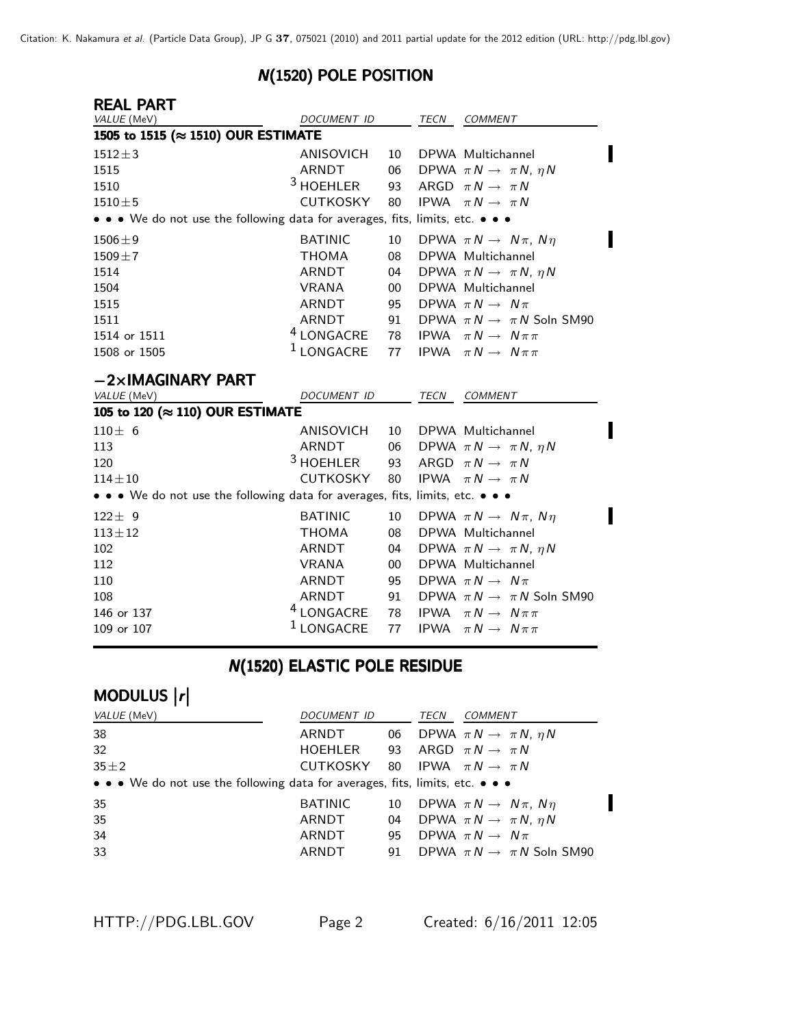#### N(1520) POLE POSITION

| <b>REAL PART</b>                                                              |                       |        |             |                                           |
|-------------------------------------------------------------------------------|-----------------------|--------|-------------|-------------------------------------------|
| VALUE (MeV)                                                                   | DOCUMENT ID           |        | TECN        | <b>COMMENT</b>                            |
| 1505 to 1515 (≈ 1510) OUR ESTIMATE                                            |                       |        |             |                                           |
| $1512 \pm 3$                                                                  | ANISOVICH             | 10     |             | DPWA Multichannel                         |
| 1515                                                                          | <b>ARNDT</b>          | 06     |             | DPWA $\pi N \rightarrow \pi N$ , $\eta N$ |
| 1510                                                                          | $3$ HOEHLER           | 93     |             | ARGD $\pi N \rightarrow \pi N$            |
| $1510 \pm 5$                                                                  | CUTKOSKY              | 80     |             | IPWA $\pi N \rightarrow \pi N$            |
| • • • We do not use the following data for averages, fits, limits, etc. • • • |                       |        |             |                                           |
| $1506 \pm 9$                                                                  | <b>BATINIC</b>        | 10     |             | DPWA $\pi N \rightarrow N \pi$ , $N \eta$ |
| $1509 + 7$                                                                    | <b>THOMA</b>          | 08     |             | DPWA Multichannel                         |
| 1514                                                                          | ARNDT                 | 04     |             | DPWA $\pi N \rightarrow \pi N$ , $\eta N$ |
| 1504                                                                          | <b>VRANA</b>          | $00\,$ |             | DPWA Multichannel                         |
| 1515                                                                          | <b>ARNDT</b>          | 95     |             | DPWA $\pi N \rightarrow N \pi$            |
| 1511                                                                          | ARNDT                 | 91     |             | DPWA $\pi N \rightarrow \pi N$ Soln SM90  |
| 1514 or 1511                                                                  | $^4$ LONGACRE         | 78     | <b>IPWA</b> | $\pi N \rightarrow N \pi \pi$             |
| 1508 or 1505                                                                  | <sup>1</sup> LONGACRE | 77     |             | <b>IPWA</b> $\pi N \rightarrow N \pi \pi$ |
| $-2\times$ IMAGINARY PART                                                     |                       |        |             |                                           |
| VALUE (MeV)                                                                   | <b>DOCUMENT ID</b>    |        | <b>TECN</b> | COMMENT                                   |
| 105 to 120 (≈ 110) OUR ESTIMATE                                               |                       |        |             |                                           |
| $110 + 6$                                                                     | ANISOVICH             | 10     |             | DPWA Multichannel                         |
| 113                                                                           | <b>ARNDT</b>          | 06     |             | DPWA $\pi N \rightarrow \pi N$ , $\eta N$ |
| 120                                                                           | <sup>3</sup> HOEHLER  | 93     |             | ARGD $\pi N \rightarrow \pi N$            |
| $114 + 10$                                                                    | <b>CUTKOSKY</b>       | 80     |             | IPWA $\pi N \rightarrow \pi N$            |
| • • • We do not use the following data for averages, fits, limits, etc. • • • |                       |        |             |                                           |
| $122 \pm 9$                                                                   | <b>BATINIC</b>        | 10     |             | DPWA $\pi N \rightarrow N \pi$ , $N \eta$ |
| $113 + 12$                                                                    | <b>THOMA</b>          | 08     |             | DPWA Multichannel                         |
| 102                                                                           | ARNDT                 | 04     |             | DPWA $\pi N \rightarrow \pi N$ , $\eta N$ |
| 112                                                                           | <b>VRANA</b>          | 00     |             | DPWA Multichannel                         |
| 110                                                                           | <b>ARNDT</b>          | 95     |             | DPWA $\pi N \rightarrow N \pi$            |
| 108                                                                           | ARNDT                 | 91     |             | DPWA $\pi N \rightarrow \pi N$ Soln SM90  |
| 146 or 137                                                                    | <sup>4</sup> LONGACRE | 78     | <b>IPWA</b> | $\pi N \rightarrow N \pi \pi$             |

## **N(1520) ELASTIC POLE RESIDUE**

146 or 137  $^4$  LONGACRE 78 IPWA  $\pi N \rightarrow N \pi \pi$ <br>109 or 107  $^1$  LONGACRE 77 IPWA  $\pi N \rightarrow N \pi \pi$ 

# MODULUS |r|

| <i>VALUE</i> (MeV)                                                            | DOCUMENT ID                                |    | TECN | <i>COMMENT</i>                               |
|-------------------------------------------------------------------------------|--------------------------------------------|----|------|----------------------------------------------|
| 38                                                                            | ARNDT                                      |    |      | 06 DPWA $\pi N \rightarrow \pi N$ , $\eta N$ |
| 32                                                                            | HOEHLER 93                                 |    |      | ARGD $\pi N \rightarrow \pi N$               |
| $35 + 2$                                                                      | CUTKOSKY 80 IPWA $\pi N \rightarrow \pi N$ |    |      |                                              |
| • • • We do not use the following data for averages, fits, limits, etc. • • • |                                            |    |      |                                              |
| 35                                                                            | BATINIC                                    |    |      | 10 DPWA $\pi N \rightarrow N \pi$ , $N \eta$ |
| 35                                                                            | ARNDT                                      | 04 |      | DPWA $\pi N \rightarrow \pi N$ , $\eta N$    |
| 34                                                                            | ARNDT                                      | 95 |      | DPWA $\pi N \rightarrow N \pi$               |
| 33                                                                            | ARNDT                                      | 91 |      | DPWA $\pi N \rightarrow \pi N$ Soln SM90     |

**1PWA**  $\pi N \rightarrow N \pi \pi$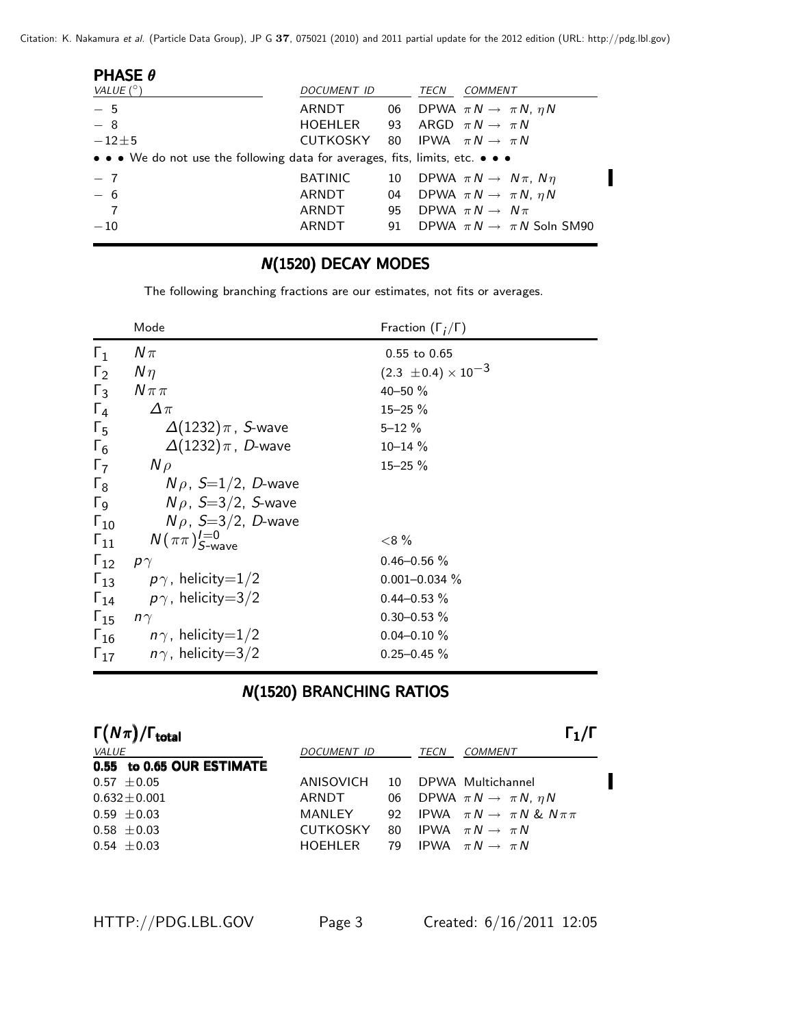Citation: K. Nakamura et al. (Particle Data Group), JP G **37**, 075021 (2010) and 2011 partial update for the 2012 edition (URL: http://pdg.lbl.gov)

| <b>PHASE <math>\theta</math></b>                                                                                      |                |    |      |                                           |
|-----------------------------------------------------------------------------------------------------------------------|----------------|----|------|-------------------------------------------|
| VALUE $(^\circ)$                                                                                                      | DOCUMENT ID    |    | TECN | <i>COMMENT</i>                            |
| $-5$                                                                                                                  | ARNDT          | 06 |      | DPWA $\pi N \rightarrow \pi N$ , $\eta N$ |
| $-8$                                                                                                                  | HOEHLER        | 93 |      | ARGD $\pi N \rightarrow \pi N$            |
| $-12\pm 5$                                                                                                            | CUTKOSKY       |    |      | 80 IPWA $\pi N \rightarrow \pi N$         |
| $\bullet \bullet \bullet$ We do not use the following data for averages, fits, limits, etc. $\bullet \bullet \bullet$ |                |    |      |                                           |
| $-7$                                                                                                                  | <b>BATINIC</b> | 10 |      | DPWA $\pi N \rightarrow N \pi$ , $N \eta$ |
| $-6$                                                                                                                  | ARNDT          | 04 |      | DPWA $\pi N \rightarrow \pi N$ , $\eta N$ |
| $\overline{7}$                                                                                                        | ARNDT          | 95 |      | DPWA $\pi N \rightarrow N \pi$            |
| $-10$                                                                                                                 | ARNDT          | 91 |      | DPWA $\pi N \rightarrow \pi N$ Soln SM90  |
|                                                                                                                       |                |    |      |                                           |

#### **N(1520) DECAY MODES**

The following branching fractions are our estimates, not fits or averages.

|                       | Mode                                   | Fraction $(\Gamma_i/\Gamma)$   |
|-----------------------|----------------------------------------|--------------------------------|
| $\Gamma_1$            | $N\pi$                                 | $0.55$ to $0.65$               |
| $\Gamma_2$            | $N\eta$                                | $(2.3 \pm 0.4) \times 10^{-3}$ |
| $\Gamma_3$            | $N \pi \pi$                            | $40 - 50 \%$                   |
| $\Gamma_4$            | $\Delta \pi$                           | $15 - 25 \%$                   |
| $\Gamma_{5}$          | $\Delta(1232)\pi$ , S-wave             | $5 - 12 \%$                    |
| $\Gamma_6$            | $\Delta(1232)\pi$ , D-wave             | $10 - 14 \%$                   |
| $\Gamma_7$            | $N \rho$                               | $15 - 25 \%$                   |
| $\Gamma_8$            | $N\rho$ , $S=1/2$ , D-wave             |                                |
| $\Gamma$ <sub>9</sub> | $N\rho$ , S=3/2, S-wave                |                                |
| $\Gamma_{10}$         | $N\rho$ , S=3/2, D-wave                |                                |
| $\Gamma_{11}$         | $N(\pi\pi)_{S\text{-wave}}^{I=0}$      | ${<}8\%$                       |
| $\Gamma_{12}$         | $p\gamma$                              | $0.46 - 0.56 %$                |
|                       | $\Gamma_{13}$ $p\gamma$ , helicity=1/2 | $0.001 - 0.034 \%$             |
|                       | $\Gamma_{14}$ $p\gamma$ , helicity=3/2 | $0.44 - 0.53 \%$               |
| $\Gamma_{15}$         | $n\gamma$                              | $0.30 - 0.53 \%$               |
|                       | $\Gamma_{16}$ $n\gamma$ , helicity=1/2 | $0.04 - 0.10 \%$               |
| $\Gamma_{17}$         | $n\gamma$ , helicity $=3/2$            | $0.25 - 0.45 \%$               |
|                       |                                        |                                |

### **N(1520) BRANCHING RATIOS**

| $\Gamma(N\pi)/\Gamma_{\rm total}$ |                 |    |      | $\Gamma_1/\Gamma$                              |
|-----------------------------------|-----------------|----|------|------------------------------------------------|
| <b>VALUE</b>                      | DOCUMENT ID     |    | TECN | <b>COMMENT</b>                                 |
| 0.55 to 0.65 OUR ESTIMATE         |                 |    |      |                                                |
| $0.57 \pm 0.05$                   | ANISOVICH       | 10 |      | DPWA Multichannel                              |
| $0.632 + 0.001$                   | ARNDT           | 06 |      | DPWA $\pi N \rightarrow \pi N$ , $\eta N$      |
| $0.59 \pm 0.03$                   | MANLEY          |    |      | 92 IPWA $\pi N \rightarrow \pi N \& N \pi \pi$ |
| $0.58 \pm 0.03$                   | <b>CUTKOSKY</b> | 80 |      | IPWA $\pi N \rightarrow \pi N$                 |
| $0.54 \pm 0.03$                   | HOFHI FR        | 79 |      | IPWA $\pi N \rightarrow \pi N$                 |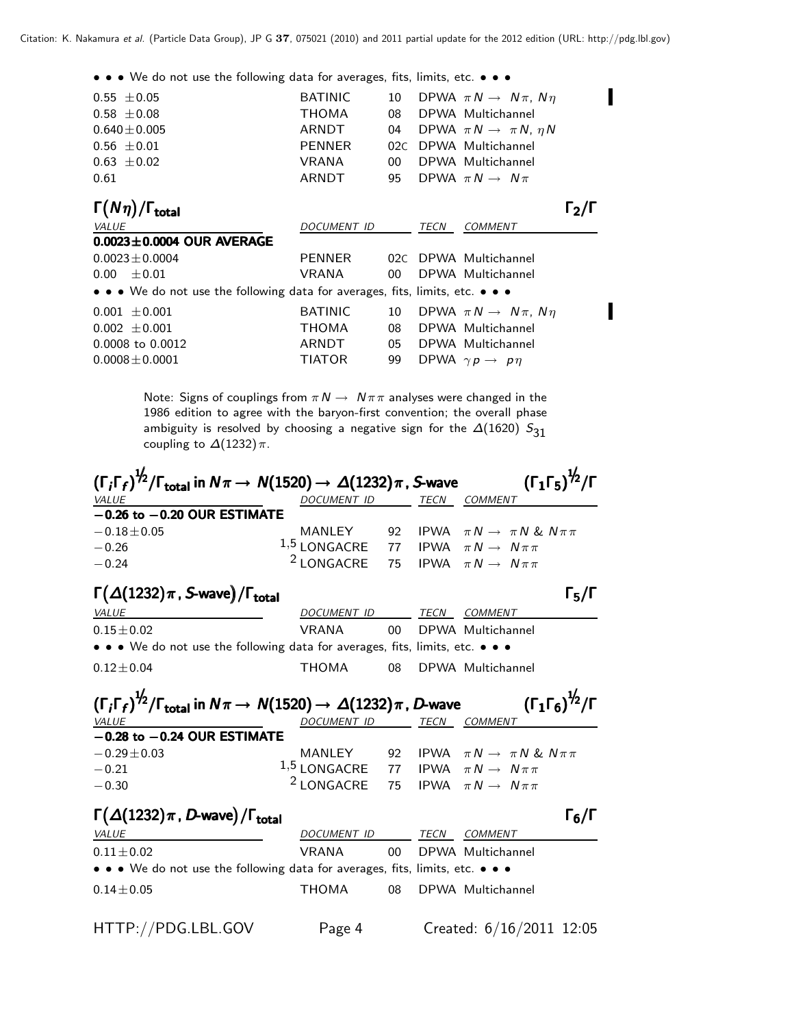I

• • • We do not use the following data for averages, fits, limits, etc. • • •

| $0.55 \pm 0.05$                                                               | <b>BATINIC</b> | 10              |      | DPWA $\pi N \rightarrow N \pi$ , $N \eta$ |                   |
|-------------------------------------------------------------------------------|----------------|-----------------|------|-------------------------------------------|-------------------|
| $0.58 \pm 0.08$                                                               | THOMA          | 08              |      | DPWA Multichannel                         |                   |
| $0.640 \pm 0.005$                                                             | ARNDT          | 04              |      | DPWA $\pi N \rightarrow \pi N$ , $\eta N$ |                   |
| $0.56 \pm 0.01$                                                               | PENNER         | 02C             |      | DPWA Multichannel                         |                   |
| $0.63 \pm 0.02$                                                               | VRANA          | 00 <sup>1</sup> |      | DPWA Multichannel                         |                   |
| 0.61                                                                          | ARNDT          | 95              |      | DPWA $\pi N \rightarrow N \pi$            |                   |
| $\Gamma(N\eta)/\Gamma_{\rm total}$                                            |                |                 |      |                                           | $\Gamma_2/\Gamma$ |
| VALUE                                                                         | DOCUMENT ID    |                 | TECN | <b>COMMENT</b>                            |                   |
| $0.0023 \pm 0.0004$ OUR AVERAGE                                               |                |                 |      |                                           |                   |
| $0.0023 \pm 0.0004$                                                           | PENNER         |                 |      | 02C DPWA Multichannel                     |                   |
| $0.00 \pm 0.01$                                                               | VRANA          | $00-1$          |      | DPWA Multichannel                         |                   |
| • • • We do not use the following data for averages, fits, limits, etc. • • • |                |                 |      |                                           |                   |
| $0.001 \pm 0.001$                                                             | <b>BATINIC</b> | 10              |      | DPWA $\pi N \rightarrow N \pi$ , $N \eta$ |                   |
| $0.002 \pm 0.001$                                                             | THOMA          | 08              |      | DPWA Multichannel                         |                   |
| 0.0008 to 0.0012                                                              | ARNDT          | 05              |      | DPWA Multichannel                         |                   |
| $0.0008 \pm 0.0001$                                                           | <b>TIATOR</b>  | 99              |      | DPWA $\gamma p \rightarrow p \eta$        |                   |

Note: Signs of couplings from  $\pi N \to N \pi \pi$  analyses were changed in the 1986 edition to agree with the baryon-first convention; the overall phase ambiguity is resolved by choosing a negative sign for the  $\Delta(1620)$   $S_{31}$ coupling to  $\Delta(1232)\pi$ .

| $(\Gamma_i\Gamma_f)^{1/2}/\Gamma_{\rm total}$ in $N\pi\to\,N(1520)\to\,\varDelta(1232)\pi$ , S-wave         |                                                    |                 | $(\Gamma_1\Gamma_5)^{\frac{1}{2}}/\Gamma$              |
|-------------------------------------------------------------------------------------------------------------|----------------------------------------------------|-----------------|--------------------------------------------------------|
| <b>VALUE</b>                                                                                                | DOCUMENT ID TECN COMMENT                           |                 |                                                        |
| $-0.26$ to $-0.20$ OUR ESTIMATE                                                                             |                                                    |                 |                                                        |
| $-0.18 \pm 0.05$                                                                                            |                                                    |                 | MANLEY 92 IPWA $\pi N \rightarrow \pi N \& N \pi \pi$  |
| $-0.26$                                                                                                     | 1,5 LONGACRE 77 IPWA $\pi N \rightarrow N \pi \pi$ |                 |                                                        |
| $-0.24$                                                                                                     | <sup>2</sup> LONGACRE                              |                 | 75 IPWA $\pi N \rightarrow N \pi \pi$                  |
| $\Gamma(\Delta(1232)\pi$ , S-wave)/ $\Gamma_{\text{total}}$                                                 |                                                    |                 | $\Gamma_5/\Gamma$                                      |
| <b>VALUE</b>                                                                                                | DOCUMENT ID TECN COMMENT                           |                 |                                                        |
| $0.15 \pm 0.02$                                                                                             | VRANA                                              | 00              | DPWA Multichannel                                      |
| • • • We do not use the following data for averages, fits, limits, etc. • • •                               |                                                    |                 |                                                        |
| $0.12 \pm 0.04$                                                                                             | THOMA 08                                           |                 | DPWA Multichannel                                      |
| $(\Gamma_i\Gamma_f)^{\frac{1}{2}}/\Gamma_{\rm total}$ in $N\pi\to\,N(1520)\to\,\varDelta(1232)\pi$ , D-wave |                                                    |                 | $(\Gamma_1\Gamma_6)^{\frac{1}{2}}$ /Г                  |
| VALUE                                                                                                       | DOCUMENT ID TECN COMMENT                           |                 |                                                        |
| $-0.28$ to $-0.24$ OUR ESTIMATE                                                                             |                                                    |                 |                                                        |
| $-0.29 \pm 0.03$                                                                                            |                                                    |                 | MANLEY 92 IPWA $\pi N \rightarrow \pi N$ & $N \pi \pi$ |
| $-0.21$                                                                                                     | 1,5 LONGACRE 77 IPWA $\pi N \rightarrow N \pi \pi$ |                 |                                                        |
| $-0.30$                                                                                                     | <sup>2</sup> LONGACRE                              |                 | 75 IPWA $\pi N \rightarrow N \pi \pi$                  |
| $\Gamma(\Delta(1232)\pi, D$ -wave)/ $\Gamma_{\text{total}}$                                                 |                                                    |                 | $\Gamma_6/\Gamma$                                      |
| <b>VALUE</b>                                                                                                | DOCUMENT ID TECN COMMENT                           |                 |                                                        |
| $0.11 \pm 0.02$                                                                                             | VRANA                                              | 00 <sup>°</sup> | DPWA Multichannel                                      |
| • • • We do not use the following data for averages, fits, limits, etc. • • •                               |                                                    |                 |                                                        |
| $0.14 \pm 0.05$                                                                                             | THOMA                                              | 08              | DPWA Multichannel                                      |

HTTP://PDG.LBL.GOV Page 4 Created: 6/16/2011 12:05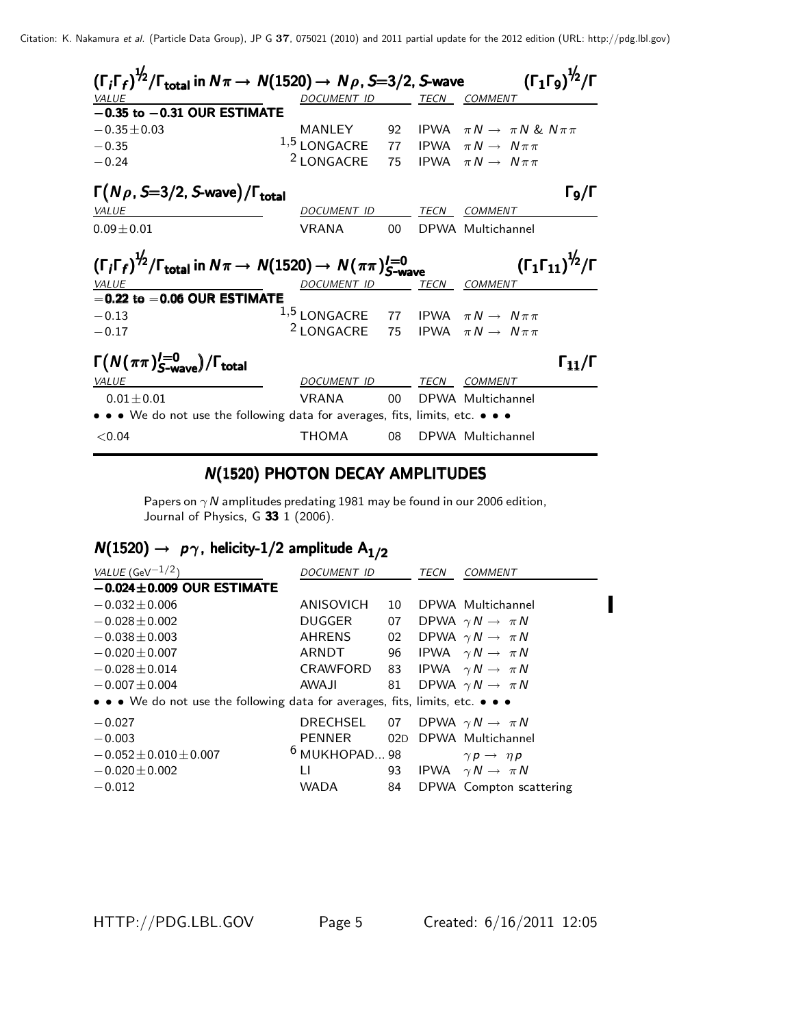| $(\Gamma_i\Gamma_f)^{1/2}/\Gamma_{\rm total}$ in $N\pi\to N(1520)\to N\rho$ , S=3/2, S-wave                                                                              |                       |        |      |                                             | $(\Gamma_1\Gamma_9)^{\frac{1}{2}}$ /Γ |  |
|--------------------------------------------------------------------------------------------------------------------------------------------------------------------------|-----------------------|--------|------|---------------------------------------------|---------------------------------------|--|
| VALUE                                                                                                                                                                    | DOCUMENT ID           |        | TECN | <i>COMMENT</i>                              |                                       |  |
| $-0.35$ to $-0.31$ OUR ESTIMATE                                                                                                                                          |                       |        |      |                                             |                                       |  |
| $-0.35 \pm 0.03$                                                                                                                                                         | MANLEY                | 92     |      | IPWA $\pi N \rightarrow \pi N \& N \pi \pi$ |                                       |  |
| $-0.35$                                                                                                                                                                  | $1,5$ LONGACRE        |        |      | 77 IPWA $\pi N \rightarrow N \pi \pi$       |                                       |  |
| $-0.24$                                                                                                                                                                  | <sup>2</sup> LONGACRE | 75     |      | IPWA $\pi N \rightarrow N \pi \pi$          |                                       |  |
| $\Gamma(N\rho, S=3/2, S$ -wave)/ $\Gamma_{\text{total}}$                                                                                                                 |                       |        |      |                                             | Го/Г                                  |  |
| <i>VALUE</i>                                                                                                                                                             | DOCUMENT ID TECN      |        |      | COMMENT                                     |                                       |  |
| $0.09 \pm 0.01$                                                                                                                                                          | <b>VRANA</b>          | 00     |      | DPWA Multichannel                           |                                       |  |
| $(\Gamma_i \Gamma_f)^{\frac{1}{2}} / \Gamma_{\text{total}}$ in $N\pi \to N(1520) \to N(\pi\pi)_{S-\text{wave}}^{I=0}$<br>$(\Gamma_1 \Gamma_{11})^{\frac{1}{2}} / \Gamma$ |                       |        |      |                                             |                                       |  |
| <b>VALUE</b>                                                                                                                                                             | DOCUMENT ID           |        | TECN | COMMENT                                     |                                       |  |
| $-0.22$ to $-0.06$ OUR ESTIMATE                                                                                                                                          |                       |        |      |                                             |                                       |  |
| $-0.13$                                                                                                                                                                  | $^{1,5}$ LONGACRE     |        |      | 77 IPWA $\pi N \rightarrow N \pi \pi$       |                                       |  |
| $-0.17$                                                                                                                                                                  | <sup>2</sup> LONGACRE |        |      | 75 IPWA $\pi N \rightarrow N \pi \pi$       |                                       |  |
| $\Gamma(N(\pi\pi)_{S\text{-wave}}^{I=0})/\Gamma_{\text{total}}$                                                                                                          |                       |        |      |                                             | $\Gamma_{11}/\Gamma$                  |  |
| <i>VALUE</i>                                                                                                                                                             | DOCUMENT ID           |        |      | TECN COMMENT                                |                                       |  |
| $0.01 + 0.01$                                                                                                                                                            | <b>VRANA</b>          | $00 -$ |      | DPWA Multichannel                           |                                       |  |
| • • • We do not use the following data for averages, fits, limits, etc. • • •                                                                                            |                       |        |      |                                             |                                       |  |
| < 0.04                                                                                                                                                                   | THOMA                 | 08     |      | DPWA Multichannel                           |                                       |  |

#### N(1520) PHOTON DECAY AMPLITUDES

Papers on  $\gamma$  N amplitudes predating 1981 may be found in our 2006 edition, Journal of Physics, G 33 1 (2006).

## $N(1520) \rightarrow p\gamma$ , helicity-1/2 amplitude A<sub>1/2</sub>

| VALUE (GeV $^{-1/2}$ )                                                        | DOCUMENT ID                           |     | TECN | COMMENT                              |
|-------------------------------------------------------------------------------|---------------------------------------|-----|------|--------------------------------------|
| $-0.024 \pm 0.009$ OUR ESTIMATE                                               |                                       |     |      |                                      |
| $-0.032 \pm 0.006$                                                            | ANISOVICH                             | 10  |      | DPWA Multichannel                    |
| $-0.028 \pm 0.002$                                                            | DUGGER                                |     |      | 07 DPWA $\gamma N \rightarrow \pi N$ |
| $-0.038 \pm 0.003$                                                            | AHRENS                                | 02  |      | DPWA $\gamma N \rightarrow \pi N$    |
| $-0.020 \pm 0.007$                                                            | ARNDT                                 |     |      | 96 IPWA $\gamma N \rightarrow \pi N$ |
| $-0.028 \pm 0.014$                                                            | CRAWFORD                              |     |      | 83 IPWA $\gamma N \rightarrow \pi N$ |
| $-0.007 \pm 0.004$                                                            | <b>AWAJI</b>                          |     |      | 81 DPWA $\gamma N \rightarrow \pi N$ |
| • • • We do not use the following data for averages, fits, limits, etc. • • • |                                       |     |      |                                      |
| $-0.027$                                                                      | DRECHSEL 07 DPWA $\gamma N \to \pi N$ |     |      |                                      |
| $-0.003$                                                                      | PENNER                                | 02D |      | DPWA Multichannel                    |
| $-0.052 \pm 0.010 \pm 0.007$                                                  | $6$ MUKHOPAD 98                       |     |      | $\gamma p \rightarrow \eta p$        |
| $-0.020 \pm 0.002$                                                            | Ħ                                     | 93  |      | IPWA $\gamma N \rightarrow \pi N$    |
| $-0.012$                                                                      | <b>WADA</b>                           | 84  |      | DPWA Compton scattering              |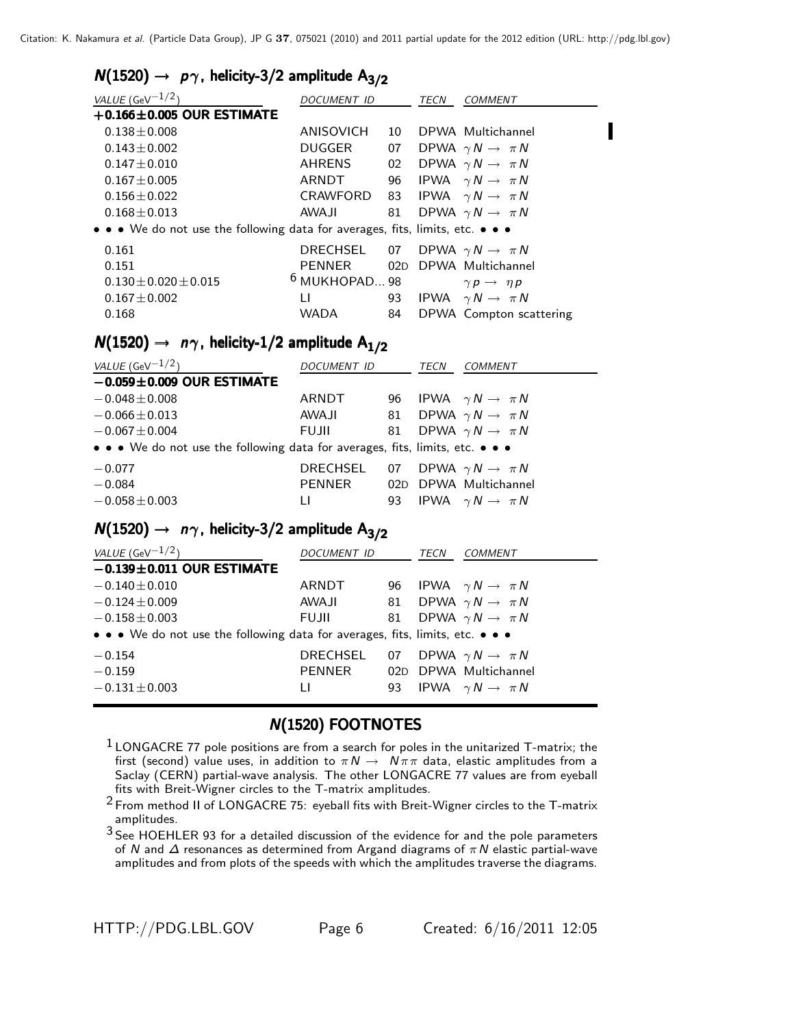#### $N(1520) \rightarrow p\gamma$ , helicity-3/2 amplitude A<sub>3/2</sub>

| VALUE (GeV $^{-1/2}$ )                                                        | DOCUMENT ID                           |    | TECN | <b>COMMENT</b>                       |
|-------------------------------------------------------------------------------|---------------------------------------|----|------|--------------------------------------|
| $+0.166\pm0.005$ OUR ESTIMATE                                                 |                                       |    |      |                                      |
| $0.138 \pm 0.008$                                                             | ANISOVICH                             | 10 |      | DPWA Multichannel                    |
| $0.143 \pm 0.002$                                                             | DUGGER                                |    |      | 07 DPWA $\gamma N \rightarrow \pi N$ |
| $0.147 \pm 0.010$                                                             | AHRENS                                |    |      | 02 DPWA $\gamma N \rightarrow \pi N$ |
| $0.167 \pm 0.005$                                                             | ARNDT                                 | 96 |      | IPWA $\gamma N \rightarrow \pi N$    |
| $0.156 \pm 0.022$                                                             | CRAWFORD                              |    |      | 83 IPWA $\gamma N \rightarrow \pi N$ |
| $0.168 \pm 0.013$                                                             | AWAJI                                 | 81 |      | DPWA $\gamma N \rightarrow \pi N$    |
| • • • We do not use the following data for averages, fits, limits, etc. • • • |                                       |    |      |                                      |
| 0.161                                                                         | DRECHSEL 07 DPWA $\gamma N \to \pi N$ |    |      |                                      |
| 0.151                                                                         | PENNER                                |    |      | 02D DPWA Multichannel                |
| $0.130 + 0.020 + 0.015$                                                       | $6$ MUKHOPAD 98                       |    |      | $\gamma p \rightarrow \eta p$        |
| $0.167 \pm 0.002$                                                             | П                                     |    |      | 93 IPWA $\gamma N \rightarrow \pi N$ |
| 0.168                                                                         | <b>WADA</b>                           | 84 |      | DPWA Compton scattering              |
|                                                                               |                                       |    |      |                                      |

#### $N(1520) \rightarrow n\gamma$ , helicity-1/2 amplitude A<sub>1/2</sub>

| VALUE (GeV $-1/2$ )                                                           | DOCUMENT ID     |    | TECN | COMMENT                              |
|-------------------------------------------------------------------------------|-----------------|----|------|--------------------------------------|
| $-0.059 \pm 0.009$ OUR ESTIMATE                                               |                 |    |      |                                      |
| $-0.048 \pm 0.008$                                                            | ARNDT           |    |      | 96 IPWA $\gamma N \rightarrow \pi N$ |
| $-0.066 \pm 0.013$                                                            | <b>AWA JI</b>   | 81 |      | DPWA $\gamma N \rightarrow \pi N$    |
| $-0.067 \pm 0.004$                                                            | <b>FUJII</b>    |    |      | 81 DPWA $\gamma N \rightarrow \pi N$ |
| • • • We do not use the following data for averages, fits, limits, etc. • • • |                 |    |      |                                      |
| $-0.077$                                                                      | <b>DRECHSEL</b> | 07 |      | DPWA $\gamma N \to \pi N$            |
| $-0.084$                                                                      | PENNER          |    |      | 02D DPWA Multichannel                |
| $-0.058 \pm 0.003$                                                            | П               |    |      | 93 IPWA $\gamma N \rightarrow \pi N$ |

### $N(1520) \rightarrow n\gamma$ , helicity-3/2 amplitude A<sub>3/2</sub>

| <i>DOCUMENT ID</i>                                                            |  | TECN | COMMENT                                                                                                                                                                                              |  |  |  |  |
|-------------------------------------------------------------------------------|--|------|------------------------------------------------------------------------------------------------------------------------------------------------------------------------------------------------------|--|--|--|--|
|                                                                               |  |      |                                                                                                                                                                                                      |  |  |  |  |
| ARNDT                                                                         |  |      |                                                                                                                                                                                                      |  |  |  |  |
| AWA JI                                                                        |  |      |                                                                                                                                                                                                      |  |  |  |  |
| FUJII                                                                         |  |      |                                                                                                                                                                                                      |  |  |  |  |
| • • • We do not use the following data for averages, fits, limits, etc. • • • |  |      |                                                                                                                                                                                                      |  |  |  |  |
| DRECHSEL                                                                      |  |      |                                                                                                                                                                                                      |  |  |  |  |
| PENNER                                                                        |  |      | 02D DPWA Multichannel                                                                                                                                                                                |  |  |  |  |
| Ħ                                                                             |  |      |                                                                                                                                                                                                      |  |  |  |  |
|                                                                               |  |      | 96 IPWA $\gamma N \rightarrow \pi N$<br>81 DPWA $\gamma N \rightarrow \pi N$<br>81 DPWA $\gamma N \rightarrow \pi N$<br>07 DPWA $\gamma N \rightarrow \pi N$<br>93 IPWA $\gamma N \rightarrow \pi N$ |  |  |  |  |

## **N(1520) FOOTNOTES**

- $1$  LONGACRE 77 pole positions are from a search for poles in the unitarized T-matrix; the first (second) value uses, in addition to  $\pi N \to N \pi \pi$  data, elastic amplitudes from a Saclay (CERN) partial-wave analysis. The other LONGACRE 77 values are from eyeball fits with Breit-Wigner circles to the T-matrix amplitudes.
- $2$  From method II of LONGACRE 75: eyeball fits with Breit-Wigner circles to the T-matrix amplitudes.

<sup>3</sup> See HOEHLER 93 for a detailed discussion of the evidence for and the pole parameters of N and  $\Delta$  resonances as determined from Argand diagrams of  $\pi N$  elastic partial-wave amplitudes and from plots of the speeds with which the amplitudes traverse the diagrams.

П